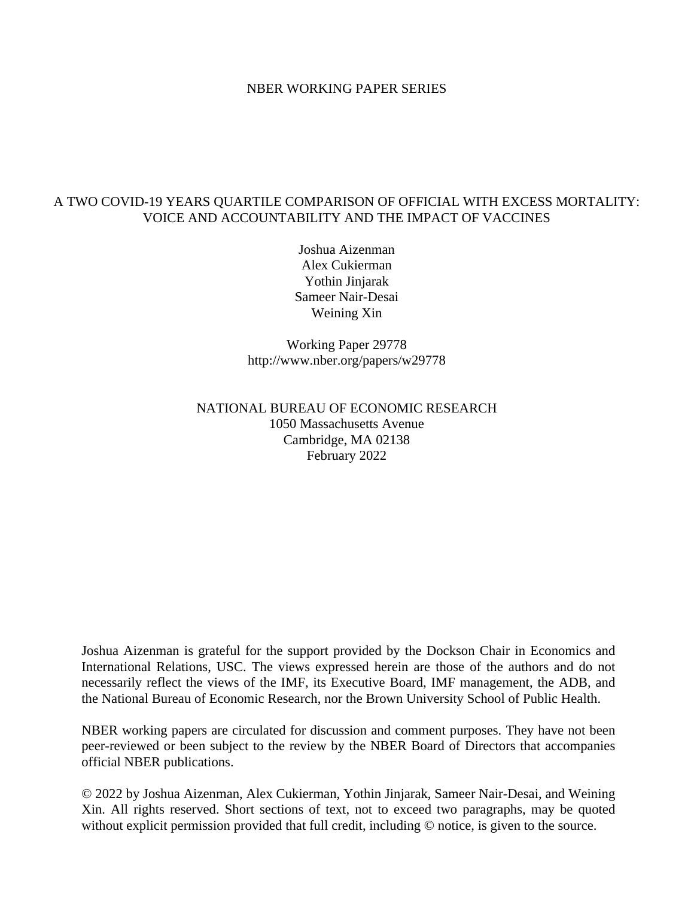#### NBER WORKING PAPER SERIES

### A TWO COVID-19 YEARS QUARTILE COMPARISON OF OFFICIAL WITH EXCESS MORTALITY: VOICE AND ACCOUNTABILITY AND THE IMPACT OF VACCINES

Joshua Aizenman Alex Cukierman Yothin Jinjarak Sameer Nair-Desai Weining Xin

Working Paper 29778 http://www.nber.org/papers/w29778

## NATIONAL BUREAU OF ECONOMIC RESEARCH 1050 Massachusetts Avenue Cambridge, MA 02138 February 2022

Joshua Aizenman is grateful for the support provided by the Dockson Chair in Economics and International Relations, USC. The views expressed herein are those of the authors and do not necessarily reflect the views of the IMF, its Executive Board, IMF management, the ADB, and the National Bureau of Economic Research, nor the Brown University School of Public Health.

NBER working papers are circulated for discussion and comment purposes. They have not been peer-reviewed or been subject to the review by the NBER Board of Directors that accompanies official NBER publications.

© 2022 by Joshua Aizenman, Alex Cukierman, Yothin Jinjarak, Sameer Nair-Desai, and Weining Xin. All rights reserved. Short sections of text, not to exceed two paragraphs, may be quoted without explicit permission provided that full credit, including  $\odot$  notice, is given to the source.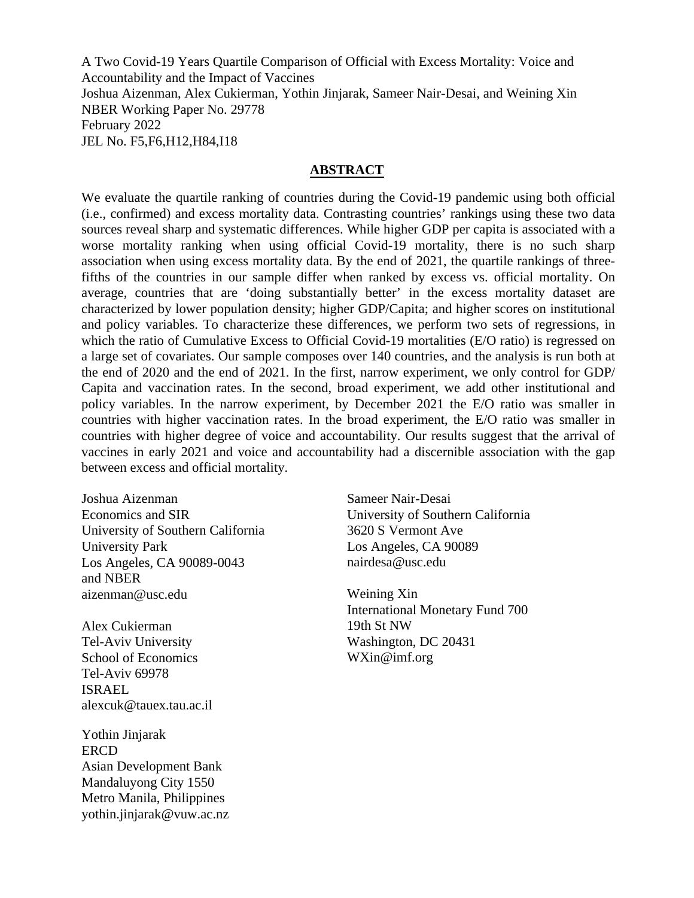A Two Covid-19 Years Quartile Comparison of Official with Excess Mortality: Voice and Accountability and the Impact of Vaccines Joshua Aizenman, Alex Cukierman, Yothin Jinjarak, Sameer Nair-Desai, and Weining Xin NBER Working Paper No. 29778 February 2022 JEL No. F5,F6,H12,H84,I18

#### **ABSTRACT**

We evaluate the quartile ranking of countries during the Covid-19 pandemic using both official (i.e., confirmed) and excess mortality data. Contrasting countries' rankings using these two data sources reveal sharp and systematic differences. While higher GDP per capita is associated with a worse mortality ranking when using official Covid-19 mortality, there is no such sharp association when using excess mortality data. By the end of 2021, the quartile rankings of threefifths of the countries in our sample differ when ranked by excess vs. official mortality. On average, countries that are 'doing substantially better' in the excess mortality dataset are characterized by lower population density; higher GDP/Capita; and higher scores on institutional and policy variables. To characterize these differences, we perform two sets of regressions, in which the ratio of Cumulative Excess to Official Covid-19 mortalities (E/O ratio) is regressed on a large set of covariates. Our sample composes over 140 countries, and the analysis is run both at the end of 2020 and the end of 2021. In the first, narrow experiment, we only control for GDP/ Capita and vaccination rates. In the second, broad experiment, we add other institutional and policy variables. In the narrow experiment, by December 2021 the E/O ratio was smaller in countries with higher vaccination rates. In the broad experiment, the E/O ratio was smaller in countries with higher degree of voice and accountability. Our results suggest that the arrival of vaccines in early 2021 and voice and accountability had a discernible association with the gap between excess and official mortality.

Joshua Aizenman Economics and SIR University of Southern California University Park Los Angeles, CA 90089-0043 and NBER aizenman@usc.edu

Alex Cukierman Tel-Aviv University School of Economics Tel-Aviv 69978 ISRAEL alexcuk@tauex.tau.ac.il

Yothin Jinjarak ERCD Asian Development Bank Mandaluyong City 1550 Metro Manila, Philippines yothin.jinjarak@vuw.ac.nz Sameer Nair-Desai University of Southern California 3620 S Vermont Ave Los Angeles, CA 90089 nairdesa@usc.edu

Weining Xin International Monetary Fund 700 19th St NW Washington, DC 20431 WXin@imf.org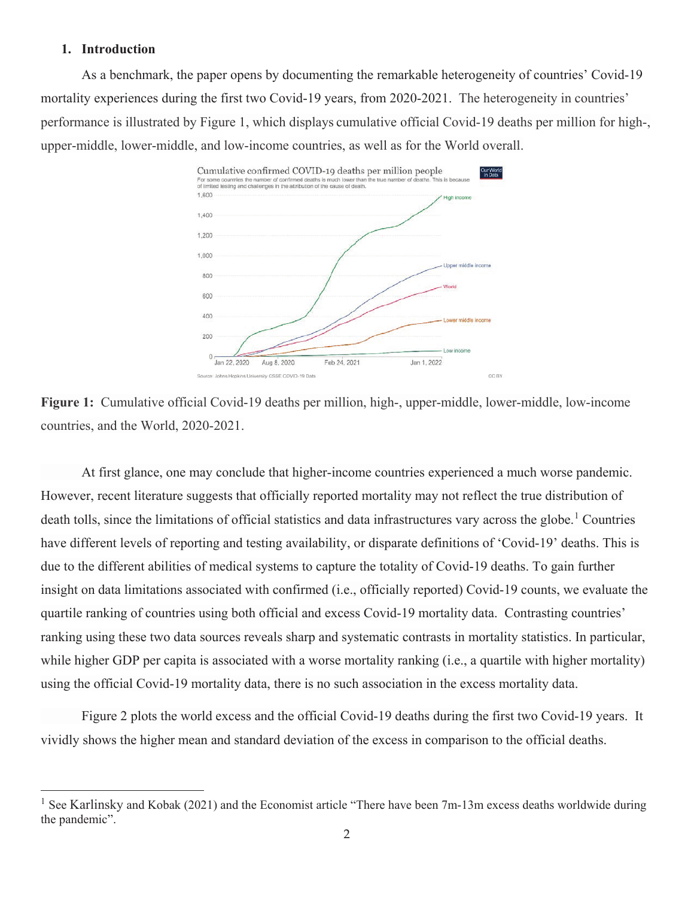#### **1. Introduction**

As a benchmark, the paper opens by documenting the remarkable heterogeneity of countries' Covid-19 mortality experiences during the first two Covid-19 years, from 2020-2021. The heterogeneity in countries' performance is illustrated by Figure 1, which displays cumulative official Covid-19 deaths per million for high-, upper-middle, lower-middle, and low-income countries, as well as for the World overall.



**Figure 1:** Cumulative official Covid-19 deaths per million, high-, upper-middle, lower-middle, low-income countries, and the World, 2020-2021.

At first glance, one may conclude that higher-income countries experienced a much worse pandemic. However, recent literature suggests that officially reported mortality may not reflect the true distribution of death tolls, since the limitations of official statistics and data infrastructures vary across the globe.<sup>1</sup> Countries have different levels of reporting and testing availability, or disparate definitions of 'Covid-19' deaths. This is due to the different abilities of medical systems to capture the totality of Covid-19 deaths. To gain further insight on data limitations associated with confirmed (i.e., officially reported) Covid-19 counts, we evaluate the quartile ranking of countries using both official and excess Covid-19 mortality data. Contrasting countries' ranking using these two data sources reveals sharp and systematic contrasts in mortality statistics. In particular, while higher GDP per capita is associated with a worse mortality ranking (i.e., a quartile with higher mortality) using the official Covid-19 mortality data, there is no such association in the excess mortality data.

Figure 2 plots the world excess and the official Covid-19 deaths during the first two Covid-19 years. It vividly shows the higher mean and standard deviation of the excess in comparison to the official deaths.

See Karlinsky and Kobak (2021) and the Economist article "There have been 7m-13m excess deaths worldwide during the pandemic".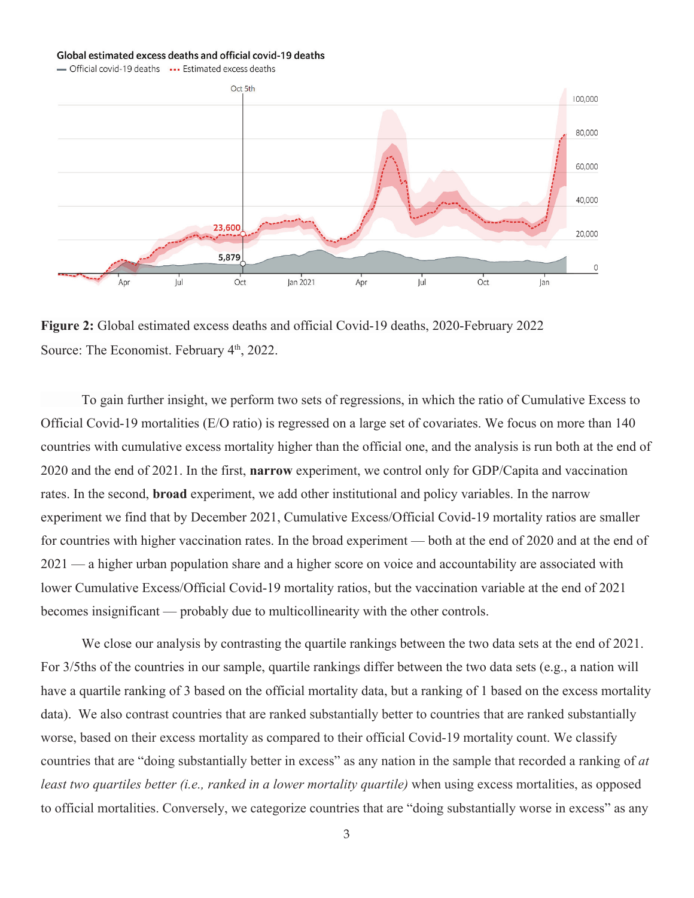#### Global estimated excess deaths and official covid-19 deaths

- Official covid-19 deaths ... Estimated excess deaths



**Figure 2:** Global estimated excess deaths and official Covid-19 deaths, 2020-February 2022 Source: The Economist. February 4<sup>th</sup>, 2022.

To gain further insight, we perform two sets of regressions, in which the ratio of Cumulative Excess to Official Covid-19 mortalities (E/O ratio) is regressed on a large set of covariates. We focus on more than 140 countries with cumulative excess mortality higher than the official one, and the analysis is run both at the end of 2020 and the end of 2021. In the first, **narrow** experiment, we control only for GDP/Capita and vaccination rates. In the second, **broad** experiment, we add other institutional and policy variables. In the narrow experiment we find that by December 2021, Cumulative Excess/Official Covid-19 mortality ratios are smaller for countries with higher vaccination rates. In the broad experiment — both at the end of 2020 and at the end of 2021 — a higher urban population share and a higher score on voice and accountability are associated with lower Cumulative Excess/Official Covid-19 mortality ratios, but the vaccination variable at the end of 2021 becomes insignificant — probably due to multicollinearity with the other controls.

We close our analysis by contrasting the quartile rankings between the two data sets at the end of 2021. For 3/5ths of the countries in our sample, quartile rankings differ between the two data sets (e.g., a nation will have a quartile ranking of 3 based on the official mortality data, but a ranking of 1 based on the excess mortality data). We also contrast countries that are ranked substantially better to countries that are ranked substantially worse, based on their excess mortality as compared to their official Covid-19 mortality count. We classify countries that are "doing substantially better in excess" as any nation in the sample that recorded a ranking of *at least two quartiles better (i.e., ranked in a lower mortality quartile)* when using excess mortalities, as opposed to official mortalities. Conversely, we categorize countries that are "doing substantially worse in excess" as any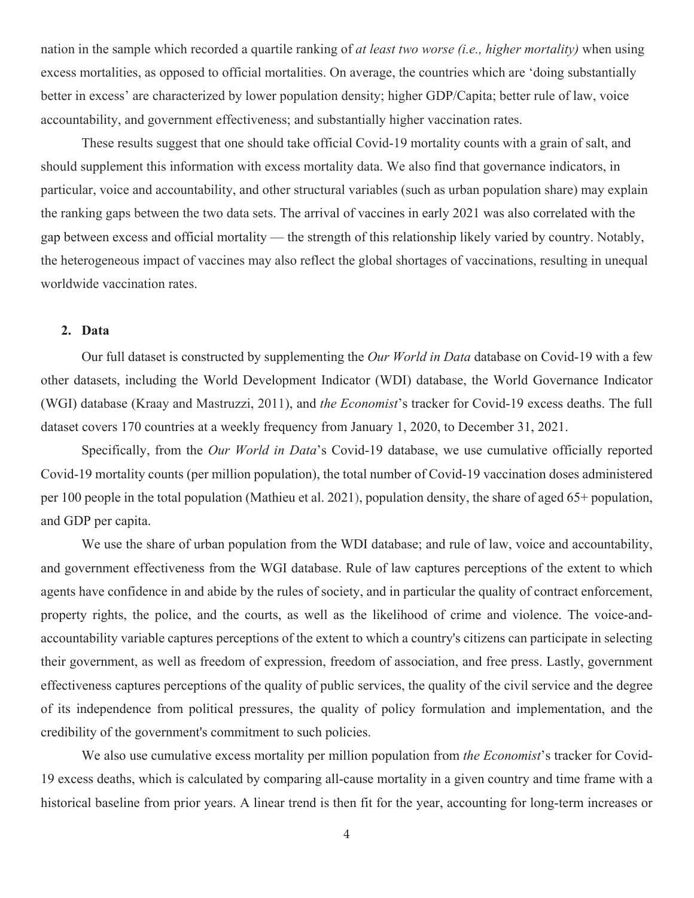nation in the sample which recorded a quartile ranking of *at least two worse (i.e., higher mortality)* when using excess mortalities, as opposed to official mortalities. On average, the countries which are 'doing substantially better in excess' are characterized by lower population density; higher GDP/Capita; better rule of law, voice accountability, and government effectiveness; and substantially higher vaccination rates.

These results suggest that one should take official Covid-19 mortality counts with a grain of salt, and should supplement this information with excess mortality data. We also find that governance indicators, in particular, voice and accountability, and other structural variables (such as urban population share) may explain the ranking gaps between the two data sets. The arrival of vaccines in early 2021 was also correlated with the gap between excess and official mortality — the strength of this relationship likely varied by country. Notably, the heterogeneous impact of vaccines may also reflect the global shortages of vaccinations, resulting in unequal worldwide vaccination rates.

#### **2. Data**

Our full dataset is constructed by supplementing the *Our World in Data* database on Covid-19 with a few other datasets, including the World Development Indicator (WDI) database, the World Governance Indicator (WGI) database (Kraay and Mastruzzi, 2011), and *the Economist*'s tracker for Covid-19 excess deaths. The full dataset covers 170 countries at a weekly frequency from January 1, 2020, to December 31, 2021.

Specifically, from the *Our World in Data*'s Covid-19 database, we use cumulative officially reported Covid-19 mortality counts (per million population), the total number of Covid-19 vaccination doses administered per 100 people in the total population (Mathieu et al. 2021), population density, the share of aged 65+ population, and GDP per capita.

We use the share of urban population from the WDI database; and rule of law, voice and accountability, and government effectiveness from the WGI database. Rule of law captures perceptions of the extent to which agents have confidence in and abide by the rules of society, and in particular the quality of contract enforcement, property rights, the police, and the courts, as well as the likelihood of crime and violence. The voice-andaccountability variable captures perceptions of the extent to which a country's citizens can participate in selecting their government, as well as freedom of expression, freedom of association, and free press. Lastly, government effectiveness captures perceptions of the quality of public services, the quality of the civil service and the degree of its independence from political pressures, the quality of policy formulation and implementation, and the credibility of the government's commitment to such policies.

We also use cumulative excess mortality per million population from *the Economist*'s tracker for Covid-19 excess deaths, which is calculated by comparing all-cause mortality in a given country and time frame with a historical baseline from prior years. A linear trend is then fit for the year, accounting for long-term increases or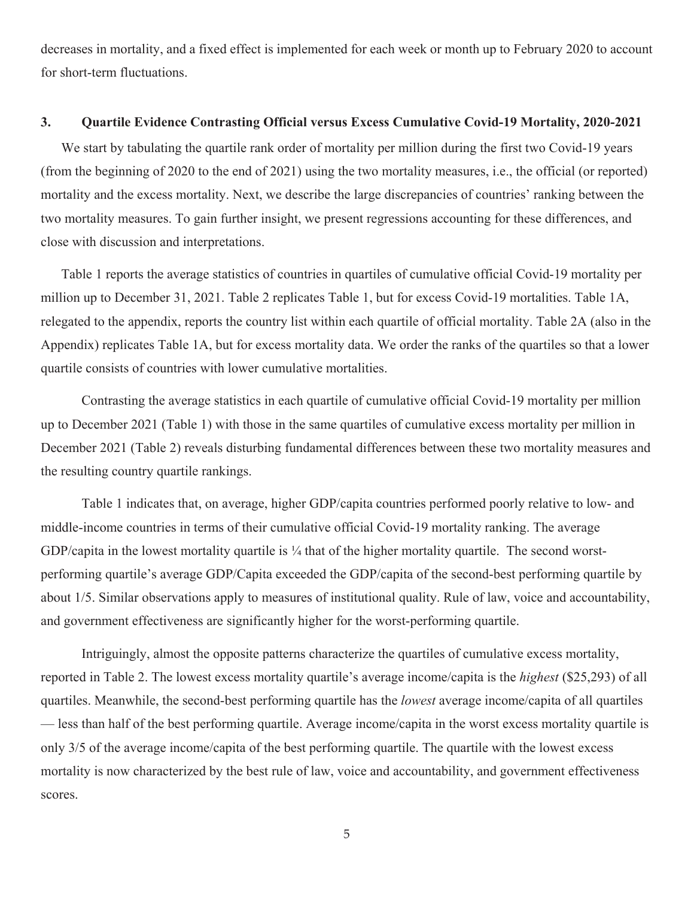decreases in mortality, and a fixed effect is implemented for each week or month up to February 2020 to account for short-term fluctuations.

#### **3. Quartile Evidence Contrasting Official versus Excess Cumulative Covid-19 Mortality, 2020-2021**

We start by tabulating the quartile rank order of mortality per million during the first two Covid-19 years (from the beginning of 2020 to the end of 2021) using the two mortality measures, i.e., the official (or reported) mortality and the excess mortality. Next, we describe the large discrepancies of countries' ranking between the two mortality measures. To gain further insight, we present regressions accounting for these differences, and close with discussion and interpretations.

Table 1 reports the average statistics of countries in quartiles of cumulative official Covid-19 mortality per million up to December 31, 2021. Table 2 replicates Table 1, but for excess Covid-19 mortalities. Table 1A, relegated to the appendix, reports the country list within each quartile of official mortality. Table 2A (also in the Appendix) replicates Table 1A, but for excess mortality data. We order the ranks of the quartiles so that a lower quartile consists of countries with lower cumulative mortalities.

Contrasting the average statistics in each quartile of cumulative official Covid-19 mortality per million up to December 2021 (Table 1) with those in the same quartiles of cumulative excess mortality per million in December 2021 (Table 2) reveals disturbing fundamental differences between these two mortality measures and the resulting country quartile rankings.

Table 1 indicates that, on average, higher GDP/capita countries performed poorly relative to low- and middle-income countries in terms of their cumulative official Covid-19 mortality ranking. The average GDP/capita in the lowest mortality quartile is  $\frac{1}{4}$  that of the higher mortality quartile. The second worstperforming quartile's average GDP/Capita exceeded the GDP/capita of the second-best performing quartile by about 1/5. Similar observations apply to measures of institutional quality. Rule of law, voice and accountability, and government effectiveness are significantly higher for the worst-performing quartile.

Intriguingly, almost the opposite patterns characterize the quartiles of cumulative excess mortality, reported in Table 2. The lowest excess mortality quartile's average income/capita is the *highest* (\$25,293) of all quartiles. Meanwhile, the second-best performing quartile has the *lowest* average income/capita of all quartiles — less than half of the best performing quartile. Average income/capita in the worst excess mortality quartile is only 3/5 of the average income/capita of the best performing quartile. The quartile with the lowest excess mortality is now characterized by the best rule of law, voice and accountability, and government effectiveness scores.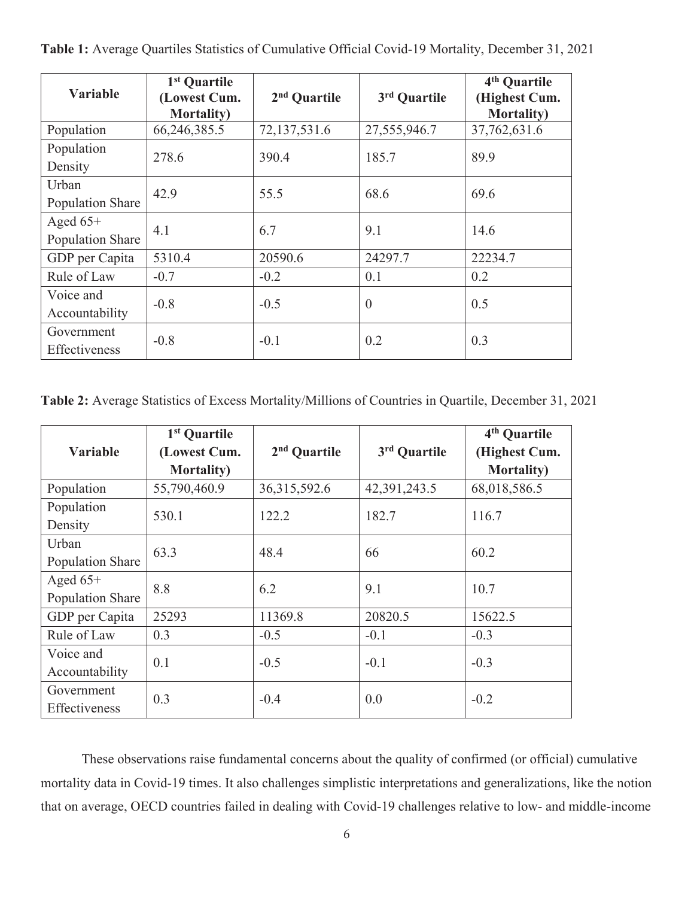| <b>Variable</b>                | 1 <sup>st</sup> Quartile<br>(Lowest Cum.<br><b>Mortality</b> ) | 2 <sup>nd</sup> Quartile | 3rd Quartile   | 4 <sup>th</sup> Quartile<br>(Highest Cum.<br><b>Mortality</b> ) |
|--------------------------------|----------------------------------------------------------------|--------------------------|----------------|-----------------------------------------------------------------|
| Population                     | 66,246,385.5                                                   | 72,137,531.6             | 27,555,946.7   | 37,762,631.6                                                    |
| Population<br>Density          | 278.6                                                          | 390.4                    | 185.7          | 89.9                                                            |
| Urban<br>Population Share      | 42.9                                                           | 55.5                     | 68.6           | 69.6                                                            |
| Aged $65+$<br>Population Share | 4.1                                                            | 6.7                      | 9.1            | 14.6                                                            |
| GDP per Capita                 | 5310.4                                                         | 20590.6                  | 24297.7        | 22234.7                                                         |
| Rule of Law                    | $-0.7$                                                         | $-0.2$                   | 0.1            | 0.2                                                             |
| Voice and<br>Accountability    | $-0.8$                                                         | $-0.5$                   | $\overline{0}$ | 0.5                                                             |
| Government<br>Effectiveness    | $-0.8$                                                         | $-0.1$                   | 0.2            | 0.3                                                             |

**Table 1:** Average Quartiles Statistics of Cumulative Official Covid-19 Mortality, December 31, 2021

**Table 2:** Average Statistics of Excess Mortality/Millions of Countries in Quartile, December 31, 2021

|                  | 1 <sup>st</sup> Quartile |                 |              | 4 <sup>th</sup> Quartile |  |
|------------------|--------------------------|-----------------|--------------|--------------------------|--|
| <b>Variable</b>  | (Lowest Cum.             | $2nd$ Quartile  | 3rd Quartile | (Highest Cum.            |  |
|                  | <b>Mortality</b> )       |                 |              | <b>Mortality</b> )       |  |
| Population       | 55,790,460.9             | 36, 315, 592. 6 | 42,391,243.5 | 68,018,586.5             |  |
| Population       | 530.1                    | 122.2           | 182.7        | 116.7                    |  |
| Density          |                          |                 |              |                          |  |
| Urban            | 63.3                     | 48.4            | 66           | 60.2                     |  |
| Population Share |                          |                 |              |                          |  |
| Aged $65+$       | 8.8                      | 6.2             | 9.1          | 10.7                     |  |
| Population Share |                          |                 |              |                          |  |
| GDP per Capita   | 25293                    | 11369.8         | 20820.5      | 15622.5                  |  |
| Rule of Law      | 0.3                      | $-0.5$          | $-0.1$       | $-0.3$                   |  |
| Voice and        | 0.1                      | $-0.5$          | $-0.1$       | $-0.3$                   |  |
| Accountability   |                          |                 |              |                          |  |
| Government       | 0.3                      | $-0.4$          | 0.0          | $-0.2$                   |  |
| Effectiveness    |                          |                 |              |                          |  |

These observations raise fundamental concerns about the quality of confirmed (or official) cumulative mortality data in Covid-19 times. It also challenges simplistic interpretations and generalizations, like the notion that on average, OECD countries failed in dealing with Covid-19 challenges relative to low- and middle-income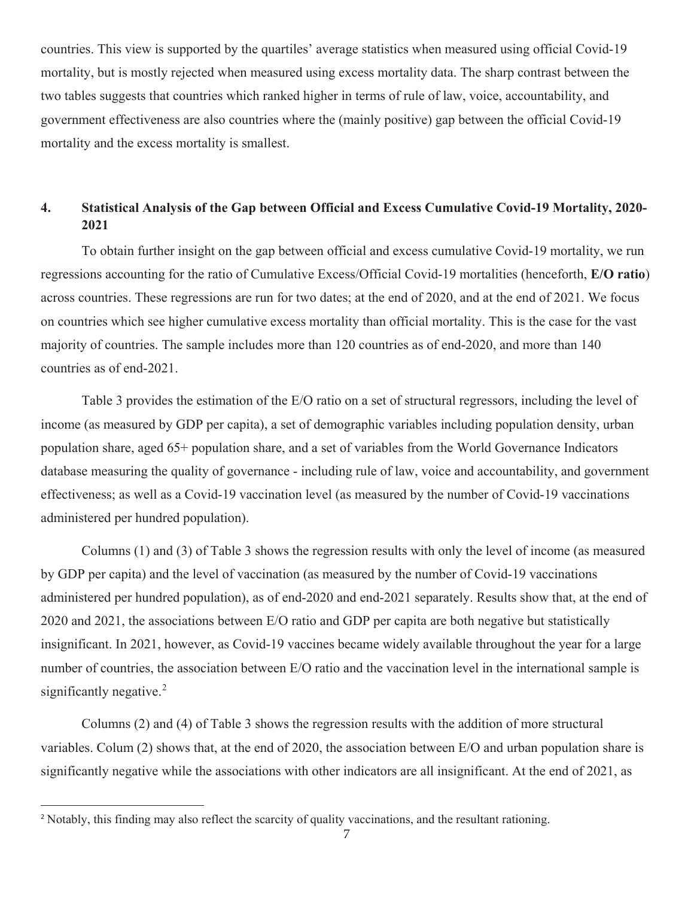countries. This view is supported by the quartiles' average statistics when measured using official Covid-19 mortality, but is mostly rejected when measured using excess mortality data. The sharp contrast between the two tables suggests that countries which ranked higher in terms of rule of law, voice, accountability, and government effectiveness are also countries where the (mainly positive) gap between the official Covid-19 mortality and the excess mortality is smallest.

## **4. Statistical Analysis of the Gap between Official and Excess Cumulative Covid-19 Mortality, 2020- 2021**

To obtain further insight on the gap between official and excess cumulative Covid-19 mortality, we run regressions accounting for the ratio of Cumulative Excess/Official Covid-19 mortalities (henceforth, **E/O ratio**) across countries. These regressions are run for two dates; at the end of 2020, and at the end of 2021. We focus on countries which see higher cumulative excess mortality than official mortality. This is the case for the vast majority of countries. The sample includes more than 120 countries as of end-2020, and more than 140 countries as of end-2021.

Table 3 provides the estimation of the E/O ratio on a set of structural regressors, including the level of income (as measured by GDP per capita), a set of demographic variables including population density, urban population share, aged 65+ population share, and a set of variables from the World Governance Indicators database measuring the quality of governance - including rule of law, voice and accountability, and government effectiveness; as well as a Covid-19 vaccination level (as measured by the number of Covid-19 vaccinations administered per hundred population).

Columns (1) and (3) of Table 3 shows the regression results with only the level of income (as measured by GDP per capita) and the level of vaccination (as measured by the number of Covid-19 vaccinations administered per hundred population), as of end-2020 and end-2021 separately. Results show that, at the end of 2020 and 2021, the associations between E/O ratio and GDP per capita are both negative but statistically insignificant. In 2021, however, as Covid-19 vaccines became widely available throughout the year for a large number of countries, the association between E/O ratio and the vaccination level in the international sample is significantly negative.<sup>2</sup>

Columns (2) and (4) of Table 3 shows the regression results with the addition of more structural variables. Colum (2) shows that, at the end of 2020, the association between E/O and urban population share is significantly negative while the associations with other indicators are all insignificant. At the end of 2021, as

<sup>&</sup>lt;sup>2</sup> Notably, this finding may also reflect the scarcity of quality vaccinations, and the resultant rationing.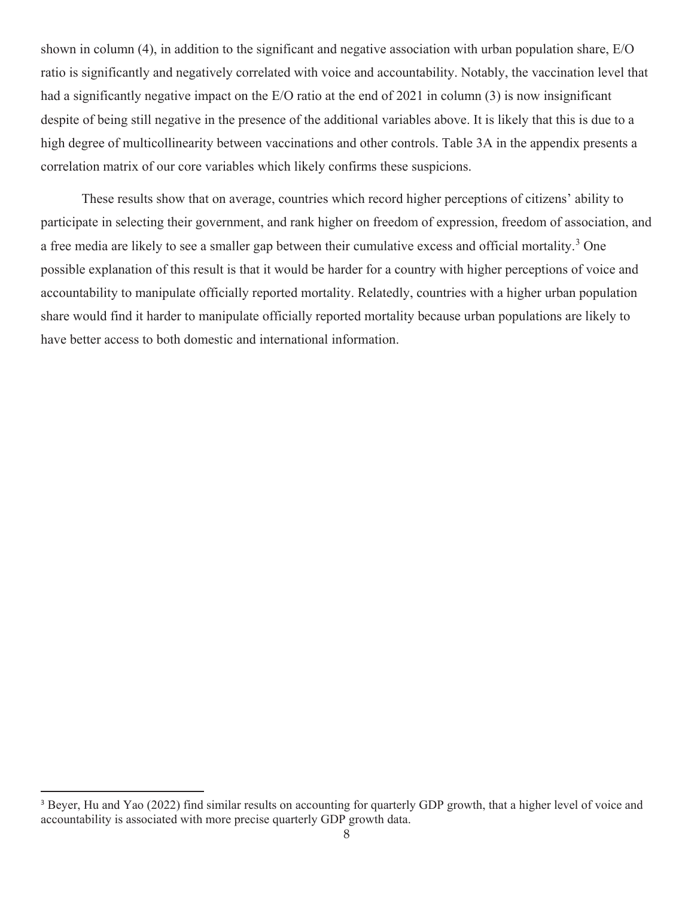shown in column (4), in addition to the significant and negative association with urban population share, E/O ratio is significantly and negatively correlated with voice and accountability. Notably, the vaccination level that had a significantly negative impact on the E/O ratio at the end of 2021 in column (3) is now insignificant despite of being still negative in the presence of the additional variables above. It is likely that this is due to a high degree of multicollinearity between vaccinations and other controls. Table 3A in the appendix presents a correlation matrix of our core variables which likely confirms these suspicions.

These results show that on average, countries which record higher perceptions of citizens' ability to participate in selecting their government, and rank higher on freedom of expression, freedom of association, and a free media are likely to see a smaller gap between their cumulative excess and official mortality.<sup>3</sup> One possible explanation of this result is that it would be harder for a country with higher perceptions of voice and accountability to manipulate officially reported mortality. Relatedly, countries with a higher urban population share would find it harder to manipulate officially reported mortality because urban populations are likely to have better access to both domestic and international information.

<sup>&</sup>lt;sup>3</sup> Beyer, Hu and Yao (2022) find similar results on accounting for quarterly GDP growth, that a higher level of voice and accountability is associated with more precise quarterly GDP growth data.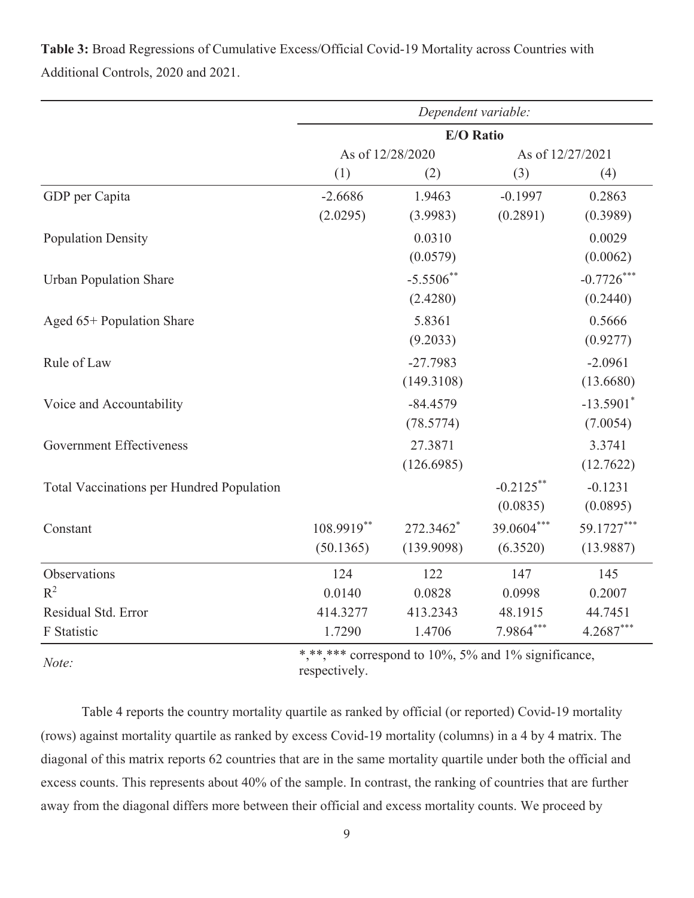|                                           | Dependent variable: |                  |                  |                         |  |  |
|-------------------------------------------|---------------------|------------------|------------------|-------------------------|--|--|
|                                           |                     | <b>E/O Ratio</b> |                  |                         |  |  |
|                                           |                     | As of 12/28/2020 | As of 12/27/2021 |                         |  |  |
|                                           | (1)                 | (2)              | (3)              | (4)                     |  |  |
| GDP per Capita                            | $-2.6686$           | 1.9463           | $-0.1997$        | 0.2863                  |  |  |
|                                           | (2.0295)            | (3.9983)         | (0.2891)         | (0.3989)                |  |  |
| <b>Population Density</b>                 |                     | 0.0310           |                  | 0.0029                  |  |  |
|                                           |                     | (0.0579)         |                  | (0.0062)                |  |  |
| <b>Urban Population Share</b>             |                     | $-5.5506$ **     |                  | $-0.7726$ ***           |  |  |
|                                           |                     | (2.4280)         |                  | (0.2440)                |  |  |
| Aged 65+ Population Share                 |                     | 5.8361           |                  | 0.5666                  |  |  |
|                                           |                     | (9.2033)         |                  | (0.9277)                |  |  |
| Rule of Law                               |                     | $-27.7983$       |                  | $-2.0961$               |  |  |
|                                           |                     | (149.3108)       |                  | (13.6680)               |  |  |
| Voice and Accountability                  |                     | $-84.4579$       |                  | $-13.5901$ <sup>*</sup> |  |  |
|                                           |                     | (78.5774)        |                  | (7.0054)                |  |  |
| <b>Government Effectiveness</b>           |                     | 27.3871          |                  | 3.3741                  |  |  |
|                                           |                     | (126.6985)       |                  | (12.7622)               |  |  |
| Total Vaccinations per Hundred Population |                     |                  | $-0.2125$ **     | $-0.1231$               |  |  |
|                                           |                     |                  | (0.0835)         | (0.0895)                |  |  |
| Constant                                  | 108.9919**          | 272.3462*        | 39.0604***       | 59.1727***              |  |  |
|                                           | (50.1365)           | (139.9098)       | (6.3520)         | (13.9887)               |  |  |
| Observations                              | 124                 | 122              | 147              | 145                     |  |  |
| $R^2$                                     | 0.0140              | 0.0828           | 0.0998           | 0.2007                  |  |  |
| Residual Std. Error                       | 414.3277            | 413.2343         | 48.1915          | 44.7451                 |  |  |
| F Statistic                               | 1.7290              | 1.4706           | 7.9864***        | 4.2687***               |  |  |
|                                           |                     |                  |                  |                         |  |  |

**Table 3:** Broad Regressions of Cumulative Excess/Official Covid-19 Mortality across Countries with Additional Controls, 2020 and 2021.

*Note:*  $\overset{\ast}{\phantom{0}}\text{*Note:*}$   $\overset{\ast}{\phantom{0}}\text{*10%}\text{, 5%}*$  and 1% significance, respectively.

Table 4 reports the country mortality quartile as ranked by official (or reported) Covid-19 mortality (rows) against mortality quartile as ranked by excess Covid-19 mortality (columns) in a 4 by 4 matrix. The diagonal of this matrix reports 62 countries that are in the same mortality quartile under both the official and excess counts. This represents about 40% of the sample. In contrast, the ranking of countries that are further away from the diagonal differs more between their official and excess mortality counts. We proceed by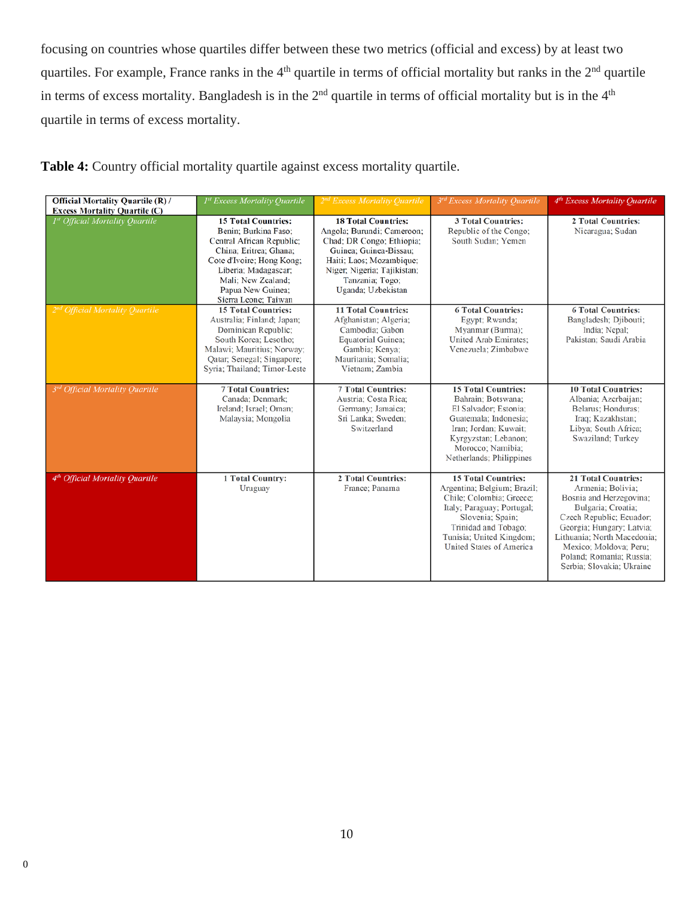focusing on countries whose quartiles differ between these two metrics (official and excess) by at least two quartiles. For example, France ranks in the  $4<sup>th</sup>$  quartile in terms of official mortality but ranks in the  $2<sup>nd</sup>$  quartile in terms of excess mortality. Bangladesh is in the  $2<sup>nd</sup>$  quartile in terms of official mortality but is in the  $4<sup>th</sup>$ quartile in terms of excess mortality.

| Table 4: Country official mortality quartile against excess mortality quartile. |  |  |  |  |
|---------------------------------------------------------------------------------|--|--|--|--|
|---------------------------------------------------------------------------------|--|--|--|--|

| <b>Official Mortality Quartile (R) /</b><br><b>Excess Mortality Quartile (C)</b> | 1st Excess Mortality Quartile                                                                                                                                                                                                     | 2 <sup>nd</sup> Excess Mortality Quartile                                                                                                                                                                           | 3rd Excess Mortality Quartile                                                                                                                                                                                                  | 4 <sup>th</sup> Excess Mortality Quartile                                                                                                                                                                                                                                   |
|----------------------------------------------------------------------------------|-----------------------------------------------------------------------------------------------------------------------------------------------------------------------------------------------------------------------------------|---------------------------------------------------------------------------------------------------------------------------------------------------------------------------------------------------------------------|--------------------------------------------------------------------------------------------------------------------------------------------------------------------------------------------------------------------------------|-----------------------------------------------------------------------------------------------------------------------------------------------------------------------------------------------------------------------------------------------------------------------------|
| <sup>1st</sup> Official Mortality Ouartile                                       | <b>15 Total Countries:</b><br>Benin; Burkina Faso;<br>Central African Republic;<br>China; Eritrea; Ghana;<br>Cote d'Ivoire; Hong Kong;<br>Liberia; Madagascar;<br>Mali; New Zealand;<br>Papua New Guinea;<br>Sierra Leone: Taiwan | <b>18 Total Countries:</b><br>Angola; Burundi; Cameroon;<br>Chad; DR Congo; Ethiopia;<br>Guinea; Guinea-Bissau:<br>Haiti; Laos; Mozambique;<br>Niger; Nigeria; Tajikistan;<br>Tanzania; Togo;<br>Uganda; Uzbekistan | <b>3 Total Countries:</b><br>Republic of the Congo:<br>South Sudan; Yemen                                                                                                                                                      | <b>2 Total Countries:</b><br>Nicaragua; Sudan                                                                                                                                                                                                                               |
| 2 <sup>nd</sup> Official Mortality Ouartile                                      | <b>15 Total Countries:</b><br>Australia; Finland; Japan;<br>Dominican Republic;<br>South Korea: Lesotho:<br>Malawi; Mauritius; Norway;<br>Qatar; Senegal; Singapore;<br>Syria; Thailand; Timor-Leste                              | <b>11 Total Countries:</b><br>Afghanistan; Algeria;<br>Cambodia: Gabon<br><b>Equatorial Guinea;</b><br>Gambia; Kenya;<br>Mauritania; Somalia;<br>Vietnam; Zambia                                                    | <b>6 Total Countries:</b><br>Egypt; Rwanda;<br>Myanmar (Burma):<br><b>United Arab Emirates:</b><br>Venezuela; Zimbabwe                                                                                                         | <b>6 Total Countries:</b><br>Bangladesh; Djibouti;<br>India; Nepal;<br>Pakistan: Saudi Arabia                                                                                                                                                                               |
| <sup>3rd</sup> Official Mortality Quartile                                       | <b>7 Total Countries:</b><br>Canada: Denmark:<br>Ireland; Israel; Oman;<br>Malaysia; Mongolia                                                                                                                                     | <b>7 Total Countries:</b><br>Austria: Costa Rica:<br>Germany; Jamaica;<br>Sri Lanka; Sweden;<br>Switzerland                                                                                                         | <b>15 Total Countries:</b><br>Bahrain; Botswana;<br>El Salvador; Estonia;<br>Guatemala: Indonesia:<br>Iran: Jordan: Kuwait:<br>Kyrgyzstan; Lebanon;<br>Morocco; Namibia;<br>Netherlands; Philippines                           | <b>10 Total Countries:</b><br>Albania; Azerbaijan;<br>Belarus: Honduras:<br>Iraq; Kazakhstan;<br>Libya; South Africa;<br>Swaziland; Turkey                                                                                                                                  |
| 4 <sup>th</sup> Official Mortality Quartile                                      | <b>1 Total Country:</b><br>Uruguay                                                                                                                                                                                                | 2 Total Countries:<br>France; Panama                                                                                                                                                                                | <b>15 Total Countries:</b><br>Argentina; Belgium; Brazil;<br>Chile: Colombia: Greece:<br>Italy; Paraguay; Portugal;<br>Slovenia; Spain;<br>Trinidad and Tobago;<br>Tunisia; United Kingdom;<br><b>United States of America</b> | <b>21 Total Countries:</b><br>Armenia: Bolivia:<br>Bosnia and Herzegovina;<br>Bulgaria; Croatia;<br>Czech Republic; Ecuador;<br>Georgia; Hungary; Latvia;<br>Lithuania; North Macedonia;<br>Mexico; Moldova; Peru;<br>Poland: Romania: Russia:<br>Serbia; Slovakia; Ukraine |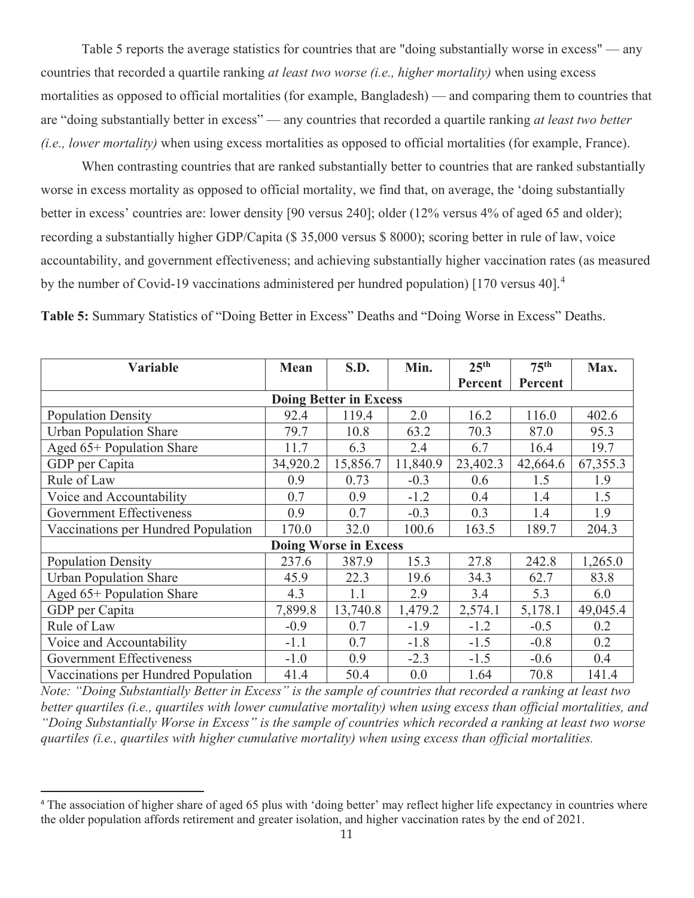Table 5 reports the average statistics for countries that are "doing substantially worse in excess" — any countries that recorded a quartile ranking *at least two worse (i.e., higher mortality)* when using excess mortalities as opposed to official mortalities (for example, Bangladesh) — and comparing them to countries that are "doing substantially better in excess" — any countries that recorded a quartile ranking *at least two better (i.e., lower mortality)* when using excess mortalities as opposed to official mortalities (for example, France).

When contrasting countries that are ranked substantially better to countries that are ranked substantially worse in excess mortality as opposed to official mortality, we find that, on average, the 'doing substantially better in excess' countries are: lower density [90 versus 240]; older (12% versus 4% of aged 65 and older); recording a substantially higher GDP/Capita (\$ 35,000 versus \$ 8000); scoring better in rule of law, voice accountability, and government effectiveness; and achieving substantially higher vaccination rates (as measured by the number of Covid-19 vaccinations administered per hundred population) [170 versus 40].<sup>4</sup>

**Table 5:** Summary Statistics of "Doing Better in Excess" Deaths and "Doing Worse in Excess" Deaths.

| Variable                            | <b>Mean</b>                   | S.D.                         | Min.     | 25 <sup>th</sup> | 75 <sup>th</sup> | Max.     |  |  |  |  |
|-------------------------------------|-------------------------------|------------------------------|----------|------------------|------------------|----------|--|--|--|--|
|                                     |                               |                              |          | Percent          | Percent          |          |  |  |  |  |
|                                     | <b>Doing Better in Excess</b> |                              |          |                  |                  |          |  |  |  |  |
| <b>Population Density</b>           | 92.4                          | 119.4                        | 2.0      | 16.2             | 116.0            | 402.6    |  |  |  |  |
| <b>Urban Population Share</b>       | 79.7                          | 10.8                         | 63.2     | 70.3             | 87.0             | 95.3     |  |  |  |  |
| Aged 65+ Population Share           | 11.7                          | 6.3                          | 2.4      | 6.7              | 16.4             | 19.7     |  |  |  |  |
| GDP per Capita                      | 34,920.2                      | 15,856.7                     | 11,840.9 | 23,402.3         | 42,664.6         | 67,355.3 |  |  |  |  |
| Rule of Law                         | 0.9                           | 0.73                         | $-0.3$   | 0.6              | 1.5              | 1.9      |  |  |  |  |
| Voice and Accountability            | 0.7                           | 0.9                          | $-1.2$   | 0.4              | 1.4              | 1.5      |  |  |  |  |
| <b>Government Effectiveness</b>     | 0.9                           | 0.7                          | $-0.3$   | 0.3              | 1.4              | 1.9      |  |  |  |  |
| Vaccinations per Hundred Population | 170.0                         | 32.0                         | 100.6    | 163.5            | 189.7            | 204.3    |  |  |  |  |
|                                     |                               | <b>Doing Worse in Excess</b> |          |                  |                  |          |  |  |  |  |
| <b>Population Density</b>           | 237.6                         | 387.9                        | 15.3     | 27.8             | 242.8            | 1,265.0  |  |  |  |  |
| <b>Urban Population Share</b>       | 45.9                          | 22.3                         | 19.6     | 34.3             | 62.7             | 83.8     |  |  |  |  |
| Aged 65+ Population Share           | 4.3                           | 1.1                          | 2.9      | 3.4              | 5.3              | 6.0      |  |  |  |  |
| GDP per Capita                      | 7,899.8                       | 13,740.8                     | 1,479.2  | 2,574.1          | 5,178.1          | 49,045.4 |  |  |  |  |
| Rule of Law                         | $-0.9$                        | 0.7                          | $-1.9$   | $-1.2$           | $-0.5$           | 0.2      |  |  |  |  |
| Voice and Accountability            | $-1.1$                        | 0.7                          | $-1.8$   | $-1.5$           | $-0.8$           | 0.2      |  |  |  |  |
| <b>Government Effectiveness</b>     | $-1.0$                        | 0.9                          | $-2.3$   | $-1.5$           | $-0.6$           | 0.4      |  |  |  |  |
| Vaccinations per Hundred Population | 41.4                          | 50.4                         | 0.0      | 1.64             | 70.8             | 141.4    |  |  |  |  |

*Note: "Doing Substantially Better in Excess" is the sample of countries that recorded a ranking at least two better quartiles (i.e., quartiles with lower cumulative mortality) when using excess than official mortalities, and "Doing Substantially Worse in Excess" is the sample of countries which recorded a ranking at least two worse quartiles (i.e., quartiles with higher cumulative mortality) when using excess than official mortalities.*

<sup>&</sup>lt;sup>4</sup> The association of higher share of aged 65 plus with 'doing better' may reflect higher life expectancy in countries where the older population affords retirement and greater isolation, and higher vaccination rates by the end of 2021.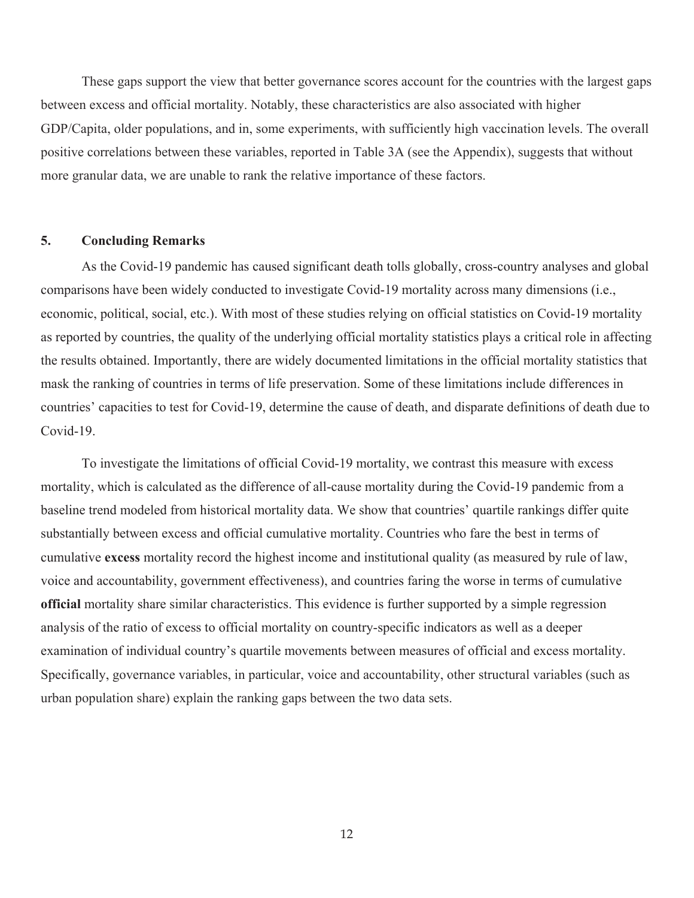These gaps support the view that better governance scores account for the countries with the largest gaps between excess and official mortality. Notably, these characteristics are also associated with higher GDP/Capita, older populations, and in, some experiments, with sufficiently high vaccination levels. The overall positive correlations between these variables, reported in Table 3A (see the Appendix), suggests that without more granular data, we are unable to rank the relative importance of these factors.

#### **5. Concluding Remarks**

As the Covid-19 pandemic has caused significant death tolls globally, cross-country analyses and global comparisons have been widely conducted to investigate Covid-19 mortality across many dimensions (i.e., economic, political, social, etc.). With most of these studies relying on official statistics on Covid-19 mortality as reported by countries, the quality of the underlying official mortality statistics plays a critical role in affecting the results obtained. Importantly, there are widely documented limitations in the official mortality statistics that mask the ranking of countries in terms of life preservation. Some of these limitations include differences in countries' capacities to test for Covid-19, determine the cause of death, and disparate definitions of death due to Covid-19.

To investigate the limitations of official Covid-19 mortality, we contrast this measure with excess mortality, which is calculated as the difference of all-cause mortality during the Covid-19 pandemic from a baseline trend modeled from historical mortality data. We show that countries' quartile rankings differ quite substantially between excess and official cumulative mortality. Countries who fare the best in terms of cumulative **excess** mortality record the highest income and institutional quality (as measured by rule of law, voice and accountability, government effectiveness), and countries faring the worse in terms of cumulative **official** mortality share similar characteristics. This evidence is further supported by a simple regression analysis of the ratio of excess to official mortality on country-specific indicators as well as a deeper examination of individual country's quartile movements between measures of official and excess mortality. Specifically, governance variables, in particular, voice and accountability, other structural variables (such as urban population share) explain the ranking gaps between the two data sets.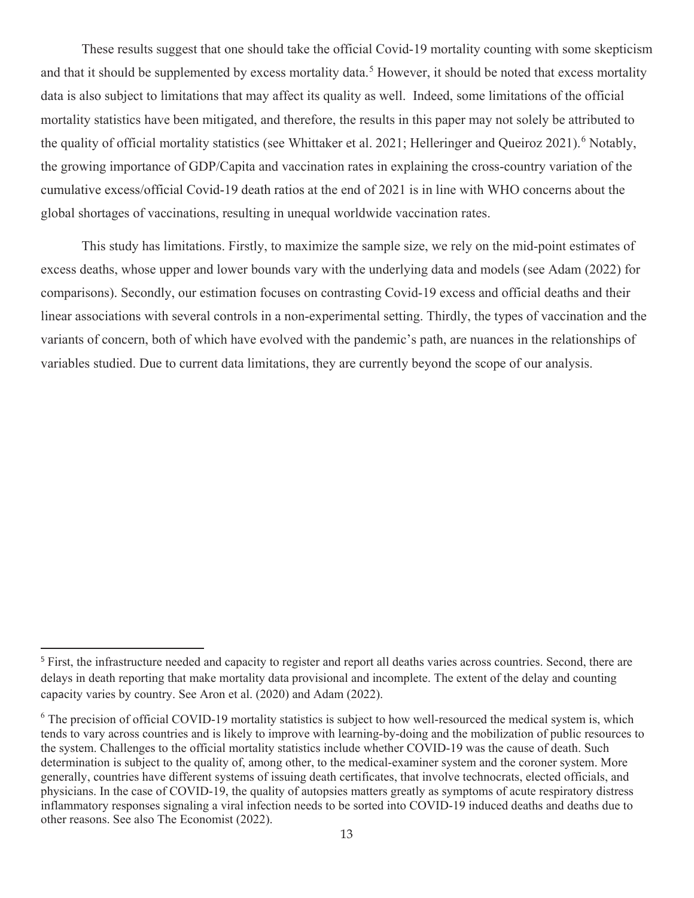These results suggest that one should take the official Covid-19 mortality counting with some skepticism and that it should be supplemented by excess mortality data.<sup>5</sup> However, it should be noted that excess mortality data is also subject to limitations that may affect its quality as well. Indeed, some limitations of the official mortality statistics have been mitigated, and therefore, the results in this paper may not solely be attributed to the quality of official mortality statistics (see Whittaker et al. 2021; Helleringer and Queiroz 2021).<sup>6</sup> Notably, the growing importance of GDP/Capita and vaccination rates in explaining the cross-country variation of the cumulative excess/official Covid-19 death ratios at the end of 2021 is in line with WHO concerns about the global shortages of vaccinations, resulting in unequal worldwide vaccination rates.

This study has limitations. Firstly, to maximize the sample size, we rely on the mid-point estimates of excess deaths, whose upper and lower bounds vary with the underlying data and models (see Adam (2022) for comparisons). Secondly, our estimation focuses on contrasting Covid-19 excess and official deaths and their linear associations with several controls in a non-experimental setting. Thirdly, the types of vaccination and the variants of concern, both of which have evolved with the pandemic's path, are nuances in the relationships of variables studied. Due to current data limitations, they are currently beyond the scope of our analysis.

<sup>&</sup>lt;sup>5</sup> First, the infrastructure needed and capacity to register and report all deaths varies across countries. Second, there are delays in death reporting that make mortality data provisional and incomplete. The extent of the delay and counting capacity varies by country. See Aron et al. (2020) and Adam (2022).

 $6$  The precision of official COVID-19 mortality statistics is subject to how well-resourced the medical system is, which tends to vary across countries and is likely to improve with learning-by-doing and the mobilization of public resources to the system. Challenges to the official mortality statistics include whether COVID-19 was the cause of death. Such determination is subject to the quality of, among other, to the medical-examiner system and the coroner system. More generally, countries have different systems of issuing death certificates, that involve technocrats, elected officials, and physicians. In the case of COVID-19, the quality of autopsies matters greatly as symptoms of acute respiratory distress inflammatory responses signaling a viral infection needs to be sorted into COVID-19 induced deaths and deaths due to other reasons. See also The Economist (2022).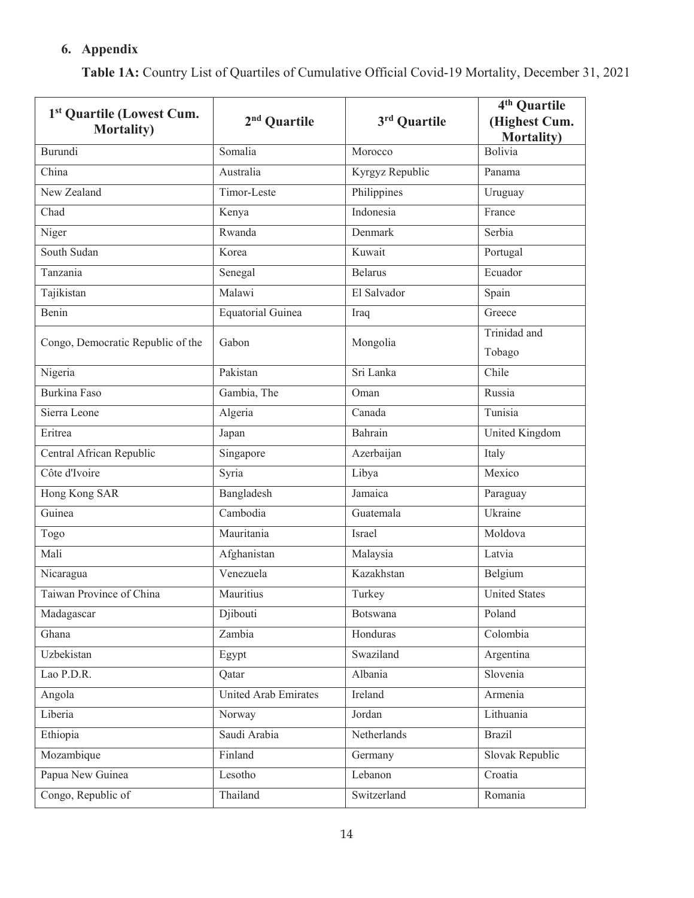# **6. Appendix**

| 1 <sup>st</sup> Quartile (Lowest Cum.<br><b>Mortality</b> ) | 2 <sup>nd</sup> Quartile    | 3rd Quartile    | 4 <sup>th</sup> Quartile<br>(Highest Cum.<br><b>Mortality</b> ) |
|-------------------------------------------------------------|-----------------------------|-----------------|-----------------------------------------------------------------|
| Burundi                                                     | Somalia                     | Morocco         | Bolivia                                                         |
| China                                                       | Australia                   | Kyrgyz Republic | Panama                                                          |
| New Zealand                                                 | Timor-Leste                 | Philippines     | Uruguay                                                         |
| Chad                                                        | Kenya                       | Indonesia       | France                                                          |
| Niger                                                       | Rwanda                      | Denmark         | Serbia                                                          |
| South Sudan                                                 | Korea                       | Kuwait          | Portugal                                                        |
| Tanzania                                                    | Senegal                     | <b>Belarus</b>  | Ecuador                                                         |
| Tajikistan                                                  | Malawi                      | El Salvador     | Spain                                                           |
| Benin                                                       | Equatorial Guinea           | Iraq            | Greece                                                          |
| Congo, Democratic Republic of the                           | Gabon                       | Mongolia        | Trinidad and<br>Tobago                                          |
| Nigeria                                                     | Pakistan                    | Sri Lanka       | Chile                                                           |
| Burkina Faso                                                | Gambia, The                 | Oman            | Russia                                                          |
| Sierra Leone                                                | Algeria                     | Canada          | Tunisia                                                         |
| Eritrea                                                     | Japan                       | Bahrain         | United Kingdom                                                  |
| Central African Republic                                    | Singapore                   | Azerbaijan      | Italy                                                           |
| Côte d'Ivoire                                               | Syria                       | Libya           | Mexico                                                          |
| Hong Kong SAR                                               | Bangladesh                  | Jamaica         | Paraguay                                                        |
| Guinea                                                      | Cambodia                    | Guatemala       | Ukraine                                                         |
| Togo                                                        | Mauritania                  | Israel          | Moldova                                                         |
| Mali                                                        | Afghanistan                 | Malaysia        | Latvia                                                          |
| Nicaragua                                                   | Venezuela                   | Kazakhstan      | Belgium                                                         |
| Taiwan Province of China                                    | Mauritius                   | Turkey          | <b>United States</b>                                            |
| Madagascar                                                  | Djibouti                    | Botswana        | Poland                                                          |
| Ghana                                                       | Zambia                      | Honduras        | Colombia                                                        |
| Uzbekistan                                                  | Egypt                       | Swaziland       | Argentina                                                       |
| Lao P.D.R.                                                  | Qatar                       | Albania         | Slovenia                                                        |
| Angola                                                      | <b>United Arab Emirates</b> | Ireland         | Armenia                                                         |
| Liberia                                                     | Norway                      | Jordan          | Lithuania                                                       |
| Ethiopia                                                    | Saudi Arabia                | Netherlands     | <b>Brazil</b>                                                   |
| Mozambique                                                  | Finland                     | Germany         | Slovak Republic                                                 |
| Papua New Guinea                                            | Lesotho                     | Lebanon         | Croatia                                                         |
| Congo, Republic of                                          | Thailand                    | Switzerland     | Romania                                                         |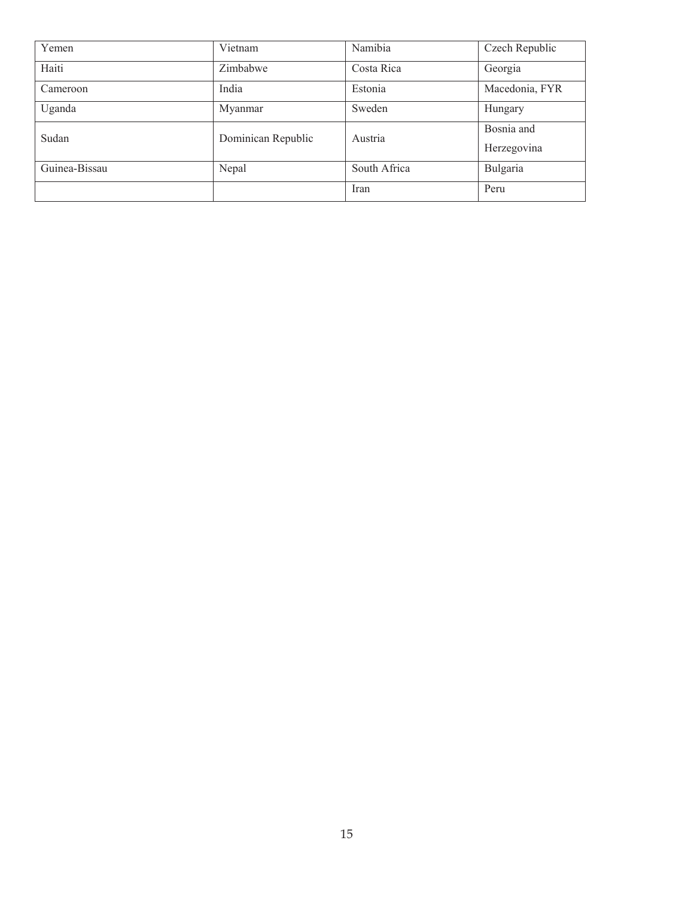| Yemen         | Vietnam            | Namibia      | Czech Republic |
|---------------|--------------------|--------------|----------------|
| Haiti         | Zimbabwe           | Costa Rica   | Georgia        |
| Cameroon      | India              | Estonia      | Macedonia, FYR |
| Uganda        | Myanmar            | Sweden       | Hungary        |
| Sudan         | Dominican Republic | Austria      | Bosnia and     |
|               |                    |              | Herzegovina    |
| Guinea-Bissau | Nepal              | South Africa | Bulgaria       |
|               |                    | Iran         | Peru           |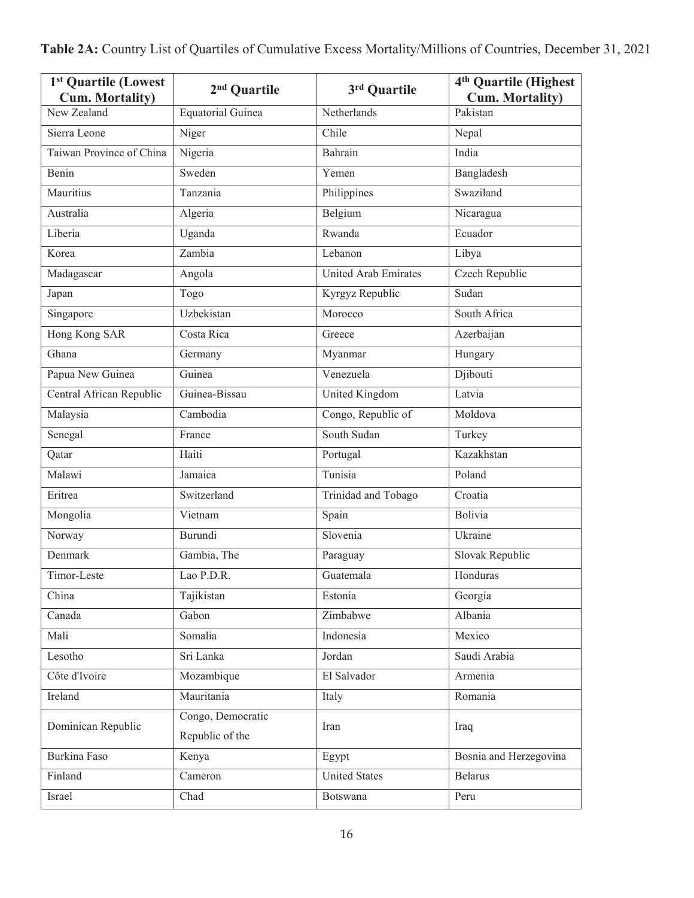| 1 <sup>st</sup> Quartile (Lowest<br><b>Cum. Mortality)</b> | 2 <sup>nd</sup> Quartile             | 3rd Quartile            | 4 <sup>th</sup> Quartile (Highest<br><b>Cum. Mortality)</b> |
|------------------------------------------------------------|--------------------------------------|-------------------------|-------------------------------------------------------------|
| New Zealand                                                | <b>Equatorial Guinea</b>             | Netherlands             | Pakistan                                                    |
| Sierra Leone                                               | Niger                                | Chile                   | Nepal                                                       |
| Taiwan Province of China                                   | Nigeria                              | Bahrain                 | India                                                       |
| Benin                                                      | Sweden                               | Yemen                   | Bangladesh                                                  |
| Mauritius                                                  | Tanzania                             | Philippines             | Swaziland                                                   |
| Australia                                                  | Algeria                              | Belgium                 | Nicaragua                                                   |
| Liberia                                                    | Uganda                               | Rwanda                  | Ecuador                                                     |
| Korea                                                      | Zambia                               | Lebanon                 | Libya                                                       |
| Madagascar                                                 | Angola                               | United Arab Emirates    | Czech Republic                                              |
| Japan                                                      | Togo                                 | Kyrgyz Republic         | Sudan                                                       |
| Singapore                                                  | Uzbekistan                           | Morocco                 | South Africa                                                |
| Hong Kong SAR                                              | Costa Rica                           | Greece                  | Azerbaijan                                                  |
| Ghana                                                      | Germany                              | Myanmar                 | Hungary                                                     |
| Papua New Guinea                                           | Guinea                               | Venezuela               | Djibouti                                                    |
| Central African Republic                                   | Guinea-Bissau                        | United Kingdom          | Latvia                                                      |
| Malaysia                                                   | Cambodia                             | Congo, Republic of      | Moldova                                                     |
| Senegal                                                    | France                               | South Sudan             | Turkey                                                      |
| Qatar                                                      | Haiti                                | Portugal                | Kazakhstan                                                  |
| Malawi                                                     | Jamaica                              | Tunisia                 | Poland                                                      |
| Eritrea                                                    | Switzerland                          | Trinidad and Tobago     | Croatia                                                     |
| Mongolia                                                   | Vietnam                              | Spain                   | Bolivia                                                     |
| Norway                                                     | Burundi                              | Slovenia                | Ukraine                                                     |
| Denmark                                                    | Gambia, The                          | Paraguay                | Slovak Republic                                             |
| Timor-Leste                                                | Lao P.D.R.                           | $\overline{G}$ uatemala | Honduras                                                    |
| China                                                      | Tajikistan                           | Estonia                 | Georgia                                                     |
| Canada                                                     | Gabon                                | Zimbabwe                | Albania                                                     |
| Mali                                                       | Somalia                              | Indonesia               | Mexico                                                      |
| Lesotho                                                    | Sri Lanka                            | Jordan                  | Saudi Arabia                                                |
| Côte d'Ivoire                                              | Mozambique                           | El Salvador             | Armenia                                                     |
| Ireland                                                    | Mauritania                           | Italy                   | Romania                                                     |
| Dominican Republic                                         | Congo, Democratic<br>Republic of the | Iran                    | Iraq                                                        |
| Burkina Faso                                               | Kenya                                | Egypt                   | Bosnia and Herzegovina                                      |
| Finland                                                    | Cameron                              | <b>United States</b>    | <b>Belarus</b>                                              |
| Israel                                                     | Chad                                 | Botswana                | Peru                                                        |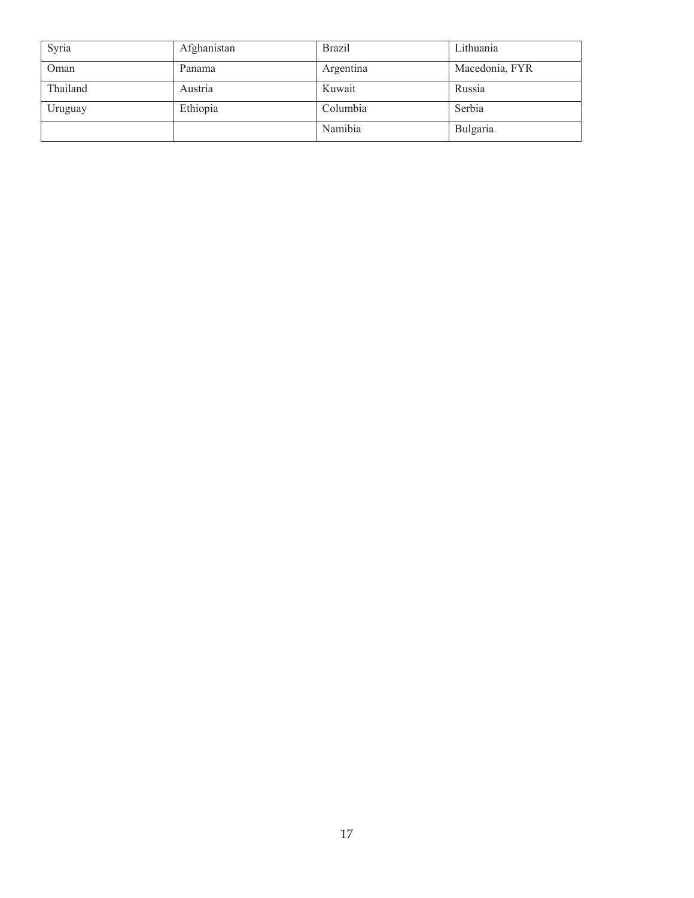| Syria    | Afghanistan | <b>Brazil</b> | Lithuania      |
|----------|-------------|---------------|----------------|
| Oman     | Panama      | Argentina     | Macedonia, FYR |
| Thailand | Austria     | Kuwait        | Russia         |
| Uruguay  | Ethiopia    | Columbia      | Serbia         |
|          |             | Namibia       | Bulgaria       |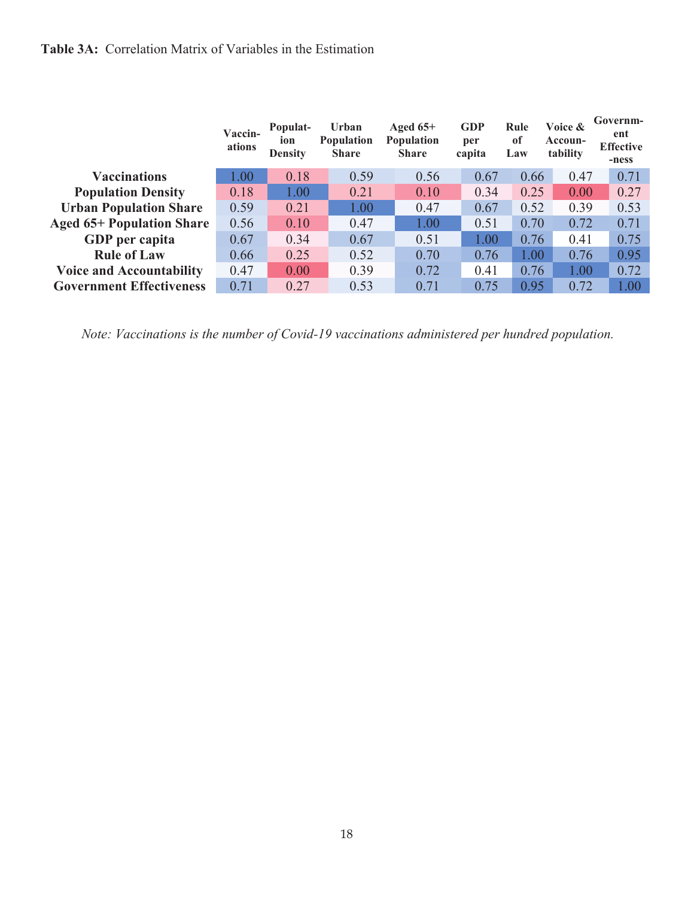## **Table 3A:** Correlation Matrix of Variables in the Estimation

|                                  | Vaccin-<br>ations | Populat-<br>ion<br><b>Density</b> | Urban<br><b>Population</b><br><b>Share</b> | Aged $65+$<br>Population<br><b>Share</b> | <b>GDP</b><br>per<br>capita | Rule<br>of<br>Law | Voice &<br>Accoun-<br>tability | Governm-<br>ent<br><b>Effective</b><br>-ness |
|----------------------------------|-------------------|-----------------------------------|--------------------------------------------|------------------------------------------|-----------------------------|-------------------|--------------------------------|----------------------------------------------|
| <b>Vaccinations</b>              | 1.00              | 0.18                              | 0.59                                       | 0.56                                     | 0.67                        | 0.66              | 0.47                           | 0.71                                         |
| <b>Population Density</b>        | 0.18              | 1.00                              | 0.21                                       | 0.10                                     | 0.34                        | 0.25              | 0.00                           | 0.27                                         |
| <b>Urban Population Share</b>    | 0.59              | 0.21                              | 1.00                                       | 0.47                                     | 0.67                        | 0.52              | 0.39                           | 0.53                                         |
| <b>Aged 65+ Population Share</b> | 0.56              | 0.10                              | 0.47                                       | 1.00                                     | 0.51                        | 0.70              | 0.72                           | 0.71                                         |
| GDP per capita                   | 0.67              | 0.34                              | 0.67                                       | 0.51                                     | 1.00                        | 0.76              | 0.41                           | 0.75                                         |
| <b>Rule of Law</b>               | 0.66              | 0.25                              | 0.52                                       | 0.70                                     | 0.76                        | 1.00              | 0.76                           | 0.95                                         |
| <b>Voice and Accountability</b>  | 0.47              | 0.00                              | 0.39                                       | 0.72                                     | 0.41                        | 0.76              | 1.00                           | 0.72                                         |
| <b>Government Effectiveness</b>  | 0.71              | 0.27                              | 0.53                                       | 0.71                                     | 0.75                        | 0.95              | 0.72                           | 1.00                                         |

*Note: Vaccinations is the number of Covid-19 vaccinations administered per hundred population.*